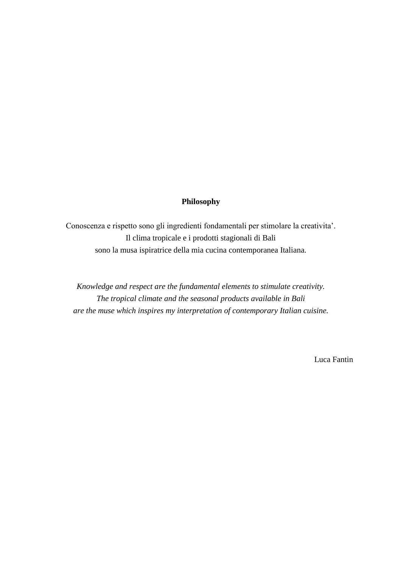#### **Philosophy**

Conoscenza e rispetto sono gli ingredienti fondamentali per stimolare la creativita'. Il clima tropicale e i prodotti stagionali di Bali sono la musa ispiratrice della mia cucina contemporanea Italiana.

*Knowledge and respect are the fundamental elements to stimulate creativity. The tropical climate and the seasonal products available in Bali are the muse which inspires my interpretation of contemporary Italian cuisine.*

Luca Fantin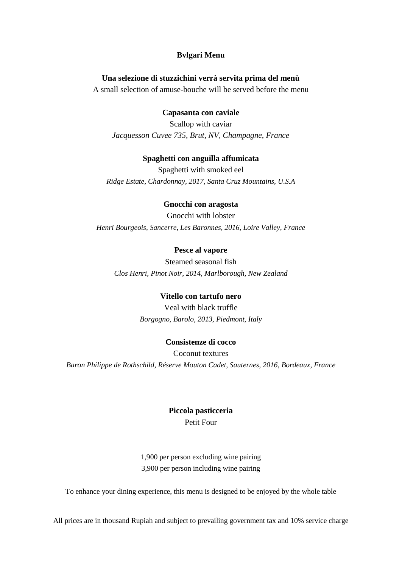#### **Bvlgari Menu**

#### **Una selezione di stuzzichini verrà servita prima del menù**

A small selection of amuse-bouche will be served before the menu

#### **Capasanta con caviale**

Scallop with caviar *Jacquesson Cuvee 735, Brut, NV, Champagne, France*

#### **Spaghetti con anguilla affumicata**

Spaghetti with smoked eel *Ridge Estate, Chardonnay, 2017, Santa Cruz Mountains, U.S.A*

#### **Gnocchi con aragosta**

Gnocchi with lobster *Henri Bourgeois, Sancerre, Les Baronnes, 2016, Loire Valley, France*

#### **Pesce al vapore**

Steamed seasonal fish *Clos Henri, Pinot Noir, 2014, Marlborough, New Zealand*

#### **Vitello con tartufo nero**

Veal with black truffle *Borgogno, Barolo, 2013, Piedmont, Italy*

#### **Consistenze di cocco**

Coconut textures *Baron Philippe de Rothschild, Réserve Mouton Cadet, Sauternes, 2016, Bordeaux, France*

### **Piccola pasticceria** Petit Four

1,900 per person excluding wine pairing 3,900 per person including wine pairing

To enhance your dining experience, this menu is designed to be enjoyed by the whole table

All prices are in thousand Rupiah and subject to prevailing government tax and 10% service charge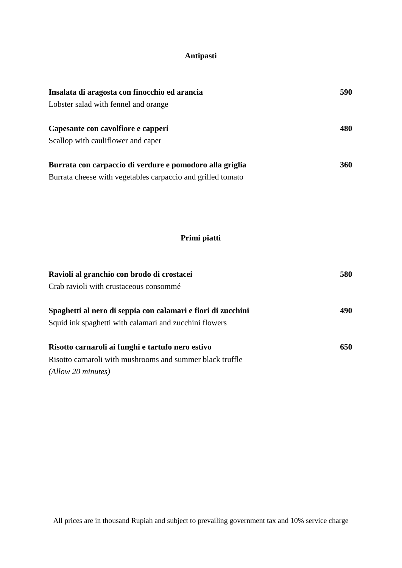## **Antipasti**

| Insalata di aragosta con finocchio ed arancia               | 590        |
|-------------------------------------------------------------|------------|
| Lobster salad with fennel and orange                        |            |
| Capesante con cavolfiore e capperi                          | 480        |
| Scallop with cauliflower and caper                          |            |
| Burrata con carpaccio di verdure e pomodoro alla griglia    | <b>360</b> |
| Burrata cheese with vegetables carpaccio and grilled tomato |            |

# **Primi piatti**

| Ravioli al granchio con brodo di crostacei                   | 580 |
|--------------------------------------------------------------|-----|
| Crab ravioli with crustaceous consommé                       |     |
| Spaghetti al nero di seppia con calamari e fiori di zucchini | 490 |
| Squid ink spaghetti with calamari and zucchini flowers       |     |
| Risotto carnaroli ai funghi e tartufo nero estivo            | 650 |
| Risotto carnaroli with mushrooms and summer black truffle    |     |
| $(Allow\ 20\ minutes)$                                       |     |

All prices are in thousand Rupiah and subject to prevailing government tax and 10% service charge